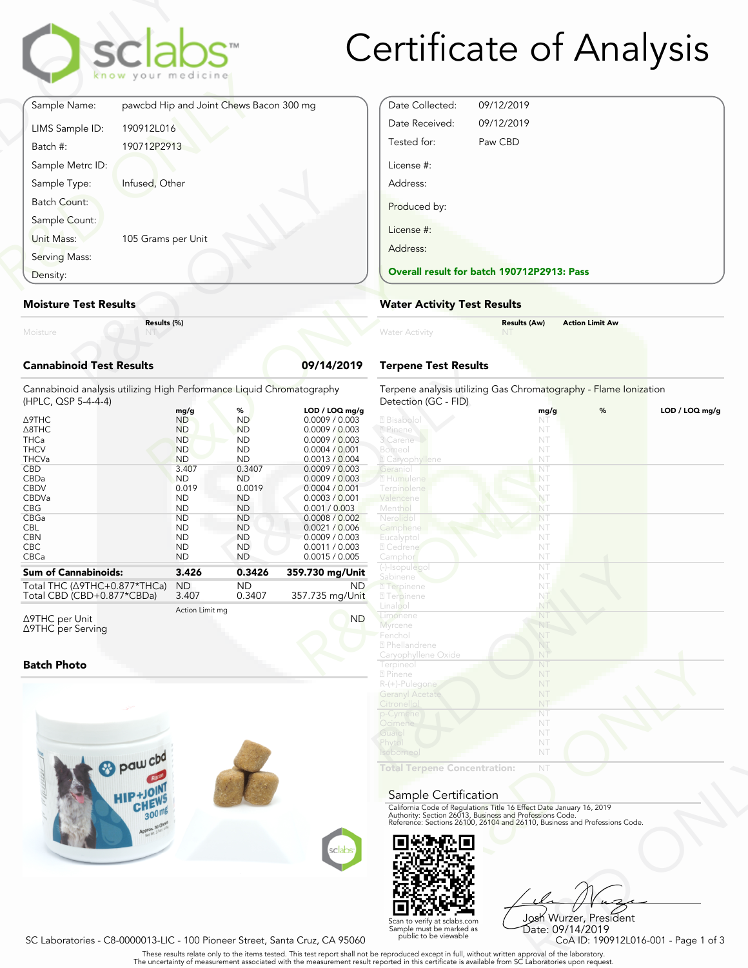

# Certificate of Analysis

|                                 | sclabs <sup>®</sup><br>know your medicine |            |
|---------------------------------|-------------------------------------------|------------|
| Sample Name:                    | pawcbd Hip and Joint Chews Bacon 300 mg   |            |
| LIMS Sample ID:                 | 190912L016                                |            |
| Batch #:                        | 190712P2913                               |            |
| Sample Metrc ID:                |                                           |            |
| Sample Type:                    | Infused, Other                            |            |
| Batch Count:                    |                                           |            |
| Sample Count:                   |                                           |            |
| Unit Mass:                      | 105 Grams per Unit                        |            |
| Serving Mass:                   |                                           |            |
| Density:                        |                                           |            |
| <b>Moisture Test Results</b>    |                                           |            |
| Moisture                        | Results (%)                               |            |
| <b>Cannabinoid Test Results</b> |                                           | 09/14/2019 |

### **Moisture Test Results**

## **Cannabinoid Test Results 09/14/2019**

| Density:                                                                                                                                                                                      | <b>Overall result for batc</b>                                                                                                                                                                  |                                                                                                                                                                                          |                                                                                                                                                                                                                                                                                             |                                                                                                                                                                                                       |
|-----------------------------------------------------------------------------------------------------------------------------------------------------------------------------------------------|-------------------------------------------------------------------------------------------------------------------------------------------------------------------------------------------------|------------------------------------------------------------------------------------------------------------------------------------------------------------------------------------------|---------------------------------------------------------------------------------------------------------------------------------------------------------------------------------------------------------------------------------------------------------------------------------------------|-------------------------------------------------------------------------------------------------------------------------------------------------------------------------------------------------------|
| <b>Moisture Test Results</b>                                                                                                                                                                  |                                                                                                                                                                                                 |                                                                                                                                                                                          |                                                                                                                                                                                                                                                                                             | <b>Water Activity Test R</b>                                                                                                                                                                          |
| Moisture                                                                                                                                                                                      | Results (%)                                                                                                                                                                                     |                                                                                                                                                                                          |                                                                                                                                                                                                                                                                                             | <b>Water Activity</b>                                                                                                                                                                                 |
| <b>Cannabinoid Test Results</b>                                                                                                                                                               |                                                                                                                                                                                                 |                                                                                                                                                                                          | 09/14/2019                                                                                                                                                                                                                                                                                  | <b>Terpene Test Results</b>                                                                                                                                                                           |
| Cannabinoid analysis utilizing High Performance Liquid Chromatography<br>(HPLC, QSP 5-4-4-4)                                                                                                  |                                                                                                                                                                                                 |                                                                                                                                                                                          |                                                                                                                                                                                                                                                                                             | Terpene analysis utilizing<br>Detection (GC - FID)                                                                                                                                                    |
| Δ9THC<br>$\triangle$ 8THC<br><b>THCa</b><br><b>THCV</b><br><b>THCVa</b><br><b>CBD</b><br>CBDa<br><b>CBDV</b><br>CBDVa<br><b>CBG</b><br>CBGa<br><b>CBL</b><br><b>CBN</b><br><b>CBC</b><br>CBCa | mg/g<br><b>ND</b><br><b>ND</b><br><b>ND</b><br><b>ND</b><br><b>ND</b><br>3.407<br><b>ND</b><br>0.019<br><b>ND</b><br><b>ND</b><br><b>ND</b><br><b>ND</b><br><b>ND</b><br><b>ND</b><br><b>ND</b> | %<br><b>ND</b><br><b>ND</b><br><b>ND</b><br><b>ND</b><br><b>ND</b><br>0.3407<br><b>ND</b><br>0.0019<br><b>ND</b><br><b>ND</b><br><b>ND</b><br><b>ND</b><br><b>ND</b><br>ND.<br><b>ND</b> | LOD / LOQ mg/g<br>0.0009 / 0.003<br>0.0009 / 0.003<br>0.0009 / 0.003<br>0.0004 / 0.001<br>0.0013 / 0.004<br>0.0009 / 0.003<br>0.0009 / 0.003<br>0.0004 / 0.001<br>0.0003 / 0.001<br>0.001 / 0.003<br>0.0008 / 0.002<br>0.0021 / 0.006<br>0.0009 / 0.003<br>0.0011 / 0.003<br>0.0015 / 0.005 | 2 Bisabolo<br>? Pinene<br>3 Carene<br>Borneo<br><b>Z</b> Caryophyllene<br>Geraniol<br>2 Humulene<br>Terpinolene<br>Valencene<br>Menthol<br>Nerolido<br>Camphene<br>Eucalyptol<br>2 Cedrene<br>Camphor |
| <b>Sum of Cannabinoids:</b>                                                                                                                                                                   | 3.426                                                                                                                                                                                           | 0.3426                                                                                                                                                                                   | 359.730 mg/Unit                                                                                                                                                                                                                                                                             | (-)-Isopulegol<br>Sabinene                                                                                                                                                                            |
| Total THC ( $\triangle$ 9THC+0.877*THCa)<br>Total CBD (CBD+0.877*CBDa)                                                                                                                        | <b>ND</b><br>3.407                                                                                                                                                                              | <b>ND</b><br>0.3407                                                                                                                                                                      | ND.<br>357.735 mg/Unit                                                                                                                                                                                                                                                                      | <b>7</b> Terpinene<br><b>7</b> Terpinene                                                                                                                                                              |
| $\triangle$ 9THC per Unit                                                                                                                                                                     | Action Limit mg                                                                                                                                                                                 |                                                                                                                                                                                          | <b>ND</b>                                                                                                                                                                                                                                                                                   | Linalool<br>Limonene                                                                                                                                                                                  |

Δ9THC per Unit Δ9THC per Serving

### **Batch Photo**



| Date Collected: | 09/12/2019                                 |  |
|-----------------|--------------------------------------------|--|
| Date Received:  | 09/12/2019                                 |  |
| Tested for:     | Paw CBD                                    |  |
| License #:      |                                            |  |
| Address:        |                                            |  |
| Produced by:    |                                            |  |
| License #:      |                                            |  |
| Address:        |                                            |  |
|                 | Overall result for batch 190712P2913: Pass |  |

### **Water Activity Test Results**

| Water Activity | <b>Results (Aw)</b> | <b>Action Limit Aw</b> |  |
|----------------|---------------------|------------------------|--|
|                |                     |                        |  |

## **Terpene Test Results**

| LOD / LOQ mg/g<br>0.0009 / 0.003<br>0.0009 / 0.003<br>0.0009 / 0.003<br>0.0004 / 0.001<br>0.0013 / 0.004<br>0.0009 / 0.003<br>0.0009 / 0.003<br>0.0004 / 0.001<br>0.0003 / 0.001<br>0.001 / 0.003<br>0.0008 / 0.002<br>0.0021 / 0.006<br>0.0009 / 0.003<br>0.0011 / 0.003 | Detection (GC - FID)<br><b>7</b> Bisabolol<br>2 Pinene<br>3 Carene<br>Borneol<br>2 Caryophyllene<br>Geranio<br>2 Humulene<br>Terpinolene | mg/g<br>NT<br>NT<br>NT<br>NT<br>NT<br>NT | % | LOD / LOQ mg/g |
|---------------------------------------------------------------------------------------------------------------------------------------------------------------------------------------------------------------------------------------------------------------------------|------------------------------------------------------------------------------------------------------------------------------------------|------------------------------------------|---|----------------|
|                                                                                                                                                                                                                                                                           |                                                                                                                                          |                                          |   |                |
|                                                                                                                                                                                                                                                                           |                                                                                                                                          |                                          |   |                |
|                                                                                                                                                                                                                                                                           |                                                                                                                                          |                                          |   |                |
|                                                                                                                                                                                                                                                                           |                                                                                                                                          |                                          |   |                |
|                                                                                                                                                                                                                                                                           |                                                                                                                                          |                                          |   |                |
|                                                                                                                                                                                                                                                                           |                                                                                                                                          |                                          |   |                |
|                                                                                                                                                                                                                                                                           |                                                                                                                                          |                                          |   |                |
|                                                                                                                                                                                                                                                                           |                                                                                                                                          | NT                                       |   |                |
|                                                                                                                                                                                                                                                                           |                                                                                                                                          | NT                                       |   |                |
|                                                                                                                                                                                                                                                                           | Valencene                                                                                                                                | NT                                       |   |                |
|                                                                                                                                                                                                                                                                           | Menthol                                                                                                                                  | NT                                       |   |                |
|                                                                                                                                                                                                                                                                           | Nerolidol                                                                                                                                | NT                                       |   |                |
|                                                                                                                                                                                                                                                                           | Camphene                                                                                                                                 | NT                                       |   |                |
|                                                                                                                                                                                                                                                                           | Eucalyptol                                                                                                                               | NT                                       |   |                |
|                                                                                                                                                                                                                                                                           | 2 Cedrene                                                                                                                                | NT                                       |   |                |
| 0.0015 / 0.005                                                                                                                                                                                                                                                            | Camphor                                                                                                                                  | NT                                       |   |                |
|                                                                                                                                                                                                                                                                           | (-)-Isopulegol                                                                                                                           | NT                                       |   |                |
| 59.730 mg/Unit                                                                                                                                                                                                                                                            | Sabinene                                                                                                                                 | NT                                       |   |                |
| ND.                                                                                                                                                                                                                                                                       | <b>7</b> Terpinene                                                                                                                       | NT                                       |   |                |
| 57.735 mg/Unit                                                                                                                                                                                                                                                            | <b>27 Terpinene</b>                                                                                                                      | NT                                       |   |                |
|                                                                                                                                                                                                                                                                           | Linalool                                                                                                                                 | NT                                       |   |                |
|                                                                                                                                                                                                                                                                           | Limonene                                                                                                                                 | NT                                       |   |                |
| <b>ND</b>                                                                                                                                                                                                                                                                 | Myrcene                                                                                                                                  | NT                                       |   |                |
|                                                                                                                                                                                                                                                                           | Fenchol                                                                                                                                  | NT                                       |   |                |
|                                                                                                                                                                                                                                                                           | 2 Phellandrene                                                                                                                           | NT                                       |   |                |
|                                                                                                                                                                                                                                                                           | Caryophyllene Oxide                                                                                                                      | NT                                       |   |                |
|                                                                                                                                                                                                                                                                           | Terpineol                                                                                                                                | NT                                       |   |                |
|                                                                                                                                                                                                                                                                           | 2 Pinene                                                                                                                                 | NT                                       |   |                |
|                                                                                                                                                                                                                                                                           | R-(+)-Pulegone                                                                                                                           | NT                                       |   |                |
|                                                                                                                                                                                                                                                                           | <b>Geranyl Acetate</b>                                                                                                                   | NT                                       |   |                |
|                                                                                                                                                                                                                                                                           |                                                                                                                                          | NT                                       |   |                |
|                                                                                                                                                                                                                                                                           | Citronellol                                                                                                                              |                                          |   |                |
|                                                                                                                                                                                                                                                                           | p-Cymene                                                                                                                                 | NT                                       |   |                |
|                                                                                                                                                                                                                                                                           | Ocimene                                                                                                                                  | NT                                       |   |                |
|                                                                                                                                                                                                                                                                           | Guaiol                                                                                                                                   | NT                                       |   |                |
|                                                                                                                                                                                                                                                                           | Phytol                                                                                                                                   | NT                                       |   |                |
|                                                                                                                                                                                                                                                                           | Isoborneol                                                                                                                               | NT                                       |   |                |
|                                                                                                                                                                                                                                                                           | <b>Total Terpene Concentration:</b>                                                                                                      | NT                                       |   |                |
|                                                                                                                                                                                                                                                                           |                                                                                                                                          |                                          |   |                |
|                                                                                                                                                                                                                                                                           |                                                                                                                                          |                                          |   |                |
|                                                                                                                                                                                                                                                                           | Sample Certification                                                                                                                     |                                          |   |                |
|                                                                                                                                                                                                                                                                           | California Code of Regulations Title 16 Effect Date January 16, 2019                                                                     |                                          |   |                |
|                                                                                                                                                                                                                                                                           | Authority: Section 26013, Business and Professions Code.<br>Reference: Sections 26100, 26104 and 26110, Business and Professions Code.   |                                          |   |                |
|                                                                                                                                                                                                                                                                           |                                                                                                                                          |                                          |   |                |
|                                                                                                                                                                                                                                                                           |                                                                                                                                          |                                          |   |                |
|                                                                                                                                                                                                                                                                           |                                                                                                                                          |                                          |   |                |
| sclabs                                                                                                                                                                                                                                                                    |                                                                                                                                          |                                          |   |                |
|                                                                                                                                                                                                                                                                           |                                                                                                                                          |                                          |   |                |

#### Sample Certification



NT<br>
NT<br>
Fect Date January 16, 2019<br>
rofessions Code.<br>
9110, Business and Professions Code.<br>
9110, Business and Professions Code.<br>
Josh Wurzer, President<br>
Date: 09/14/2019<br>
CoA ID: 190912L016-001 - Page 1 of 3<br>
pproval of t Josh Wurzer, President Date: 09/14/2019

. These results relate only to the items tested. This test report shall not be reproduced except in full, without written approval of the laboratory.<br>The uncertainty of measurement associated with the measurement result re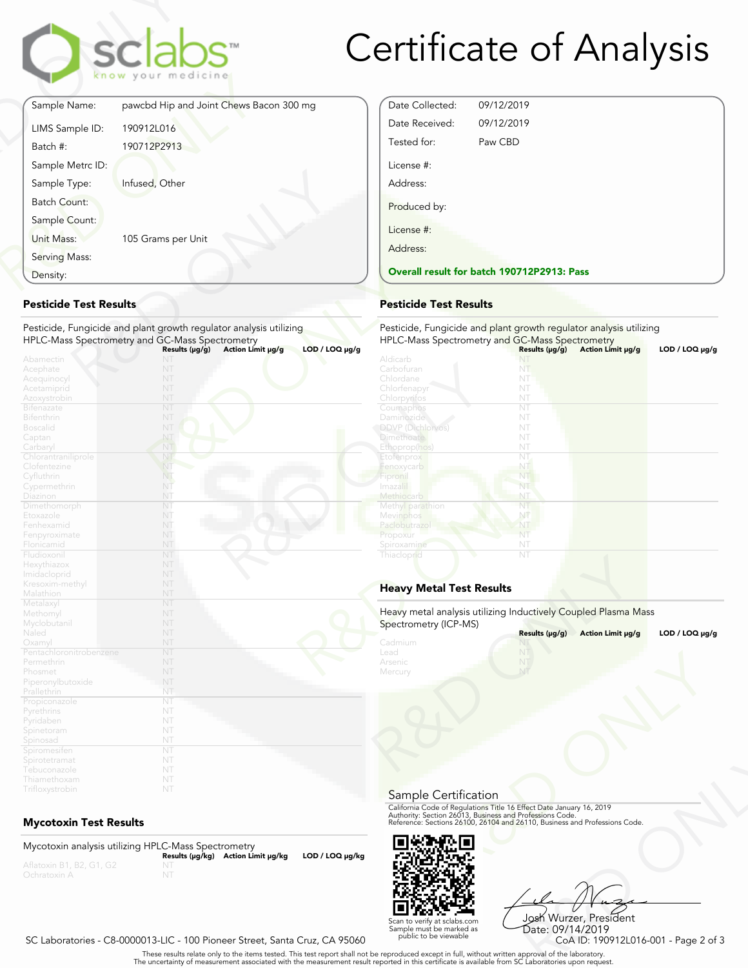

# Certificate of Analysis

Date Collected: 09/12/2019 Date Received: 09/12/2019 Tested for: Paw CBD

License #: Address:

Produced by:

License #:

|                               | sclabs <sup>®</sup><br>know your medicine                                                                                                                                           |
|-------------------------------|-------------------------------------------------------------------------------------------------------------------------------------------------------------------------------------|
| Sample Name:                  | pawcbd Hip and Joint Chews Bacon 300 mg                                                                                                                                             |
| LIMS Sample ID:               | 190912L016                                                                                                                                                                          |
| Batch #:                      | 190712P2913                                                                                                                                                                         |
| Sample Metrc ID:              |                                                                                                                                                                                     |
| Sample Type:                  | Infused, Other                                                                                                                                                                      |
| <b>Batch Count:</b>           |                                                                                                                                                                                     |
| Sample Count:                 |                                                                                                                                                                                     |
| Unit Mass:                    | 105 Grams per Unit                                                                                                                                                                  |
| Serving Mass:                 |                                                                                                                                                                                     |
| Density:                      |                                                                                                                                                                                     |
| <b>Pesticide Test Results</b> | Pesticide, Fungicide and plant growth regulator analysis utilizing<br>HPLC-Mass Spectrometry and GC-Mass Spectrometry<br>Action Limit µg/g<br>$LOD / LOQ \mu g/g$<br>Results (µg/g) |
| Abamectin<br>Acephate         | NT                                                                                                                                                                                  |
| Acequinocyl                   | NT                                                                                                                                                                                  |

## **Pesticide Test Results**

| Density:                      |                                                                                                          | <b>Overall result for batc</b> |
|-------------------------------|----------------------------------------------------------------------------------------------------------|--------------------------------|
| <b>Pesticide Test Results</b> |                                                                                                          | <b>Pesticide Test Results</b>  |
|                               | Pesticide, Fungicide and plant growth regulator analysis utilizing                                       | Pesticide, Fungicide and       |
|                               | HPLC-Mass Spectrometry and GC-Mass Spectrometry<br>LOD / LOQ µg/g<br>Results (µg/g)<br>Action Limit µg/g | <b>HPLC-Mass Spectrometry</b>  |
| Abamectin                     | NT                                                                                                       | Aldicarb                       |
| Acephate                      | NT                                                                                                       | Carbofuran                     |
| Acequinocyl                   | NT                                                                                                       | Chlordane                      |
| Acetamiprid                   | NT                                                                                                       | Chlorfenapyr                   |
| Azoxystrobin                  | NT                                                                                                       | Chlorpyritos                   |
| <b>Bifenazate</b>             | NT                                                                                                       | Coumaphos                      |
| <b>Bifenthrin</b>             | NT                                                                                                       | Daminozide                     |
| <b>Boscalid</b>               | NT                                                                                                       | DDVP (Dichlorvos)              |
| Captan                        | NT                                                                                                       | <b>Dimethoate</b>              |
| Carbaryl                      | NT                                                                                                       | Ethoprop(hos)                  |
| Chlorantraniliprole           | NT                                                                                                       | Etofenprox                     |
| Clofentezine                  | N <sub>T</sub>                                                                                           | Fenoxycarb                     |
| Cyfluthrin                    | NT.                                                                                                      | Fipronil                       |
| Cypermethrin                  | NT                                                                                                       | Imazalil                       |
| Diazinon                      | NT                                                                                                       | Methiocarb                     |
| Dimethomorph                  | NT                                                                                                       | Methyl parathion               |
| Etoxazole                     | NT                                                                                                       | Mevinphos                      |
| Fenhexamid                    | NT                                                                                                       | Paclobutrazol                  |
| Fenpyroximate                 | NT                                                                                                       | Propoxur                       |
| Flonicamid                    | NT                                                                                                       | Spiroxamine                    |
| Fludioxonil                   | NT                                                                                                       | Thiacloprid                    |
| Hexythiazox                   | NT                                                                                                       |                                |
| Imidacloprid                  | NT                                                                                                       |                                |
| Kresoxim-methyl               | NT                                                                                                       | <b>Heavy Metal Test Res</b>    |
| Malathion                     | NT                                                                                                       |                                |
| Metalaxyl                     | NT                                                                                                       |                                |
| Methomyl                      | NT                                                                                                       | Heavy metal analysis utiliz    |
| Myclobutanil                  | NT                                                                                                       | Spectrometry (ICP-MS)          |
| Naled                         | NT                                                                                                       |                                |
| Oxamyl                        | NT                                                                                                       | Cadmium                        |
| Pentachloronitrobenzene       | NT                                                                                                       | Lead                           |
| Permethrin                    | NT                                                                                                       | Arsenic                        |
| Phosmet                       | NT                                                                                                       | Mercury                        |
| Piperonylbutoxide             | NT                                                                                                       |                                |
| Prallethrin                   | NT                                                                                                       |                                |
| Propiconazole                 | NT                                                                                                       |                                |
| Pyrethrins                    | NT                                                                                                       |                                |
| Pyridaben                     | NT                                                                                                       |                                |
| Spinetoram                    | NT                                                                                                       |                                |
| Spinosad                      | NT                                                                                                       |                                |
| Spiromesifen                  | NT                                                                                                       |                                |
| Spirotetramat                 | NT                                                                                                       |                                |
| Tebuconazole                  | NT                                                                                                       |                                |
| Thiamethoxam                  | NT                                                                                                       |                                |

## **Mycotoxin Test Results**

Mycotoxin analysis utilizing HPLC-Mass Spectrometry **Results (μg/kg) Action Limit μg/kg LOD / LOQ μg/kg** NT



Frect Date January 16, 2019<br>
Trofessions Code.<br>
110, Business and Professions Code.<br>
110, Business and Professions Code.<br>
108 Wurzer, President<br>
Date: 09/14/2019<br>
CoA ID: 190912L016-001 - Page 2 of 3<br>
pproval of the labora Josh Wurzer, President Date: 09/14/2019

SC Laboratories - C8-0000013-LIC - 100 Pioneer Street, Santa Cruz, CA 95060

. These results relate only to the items tested. This test report shall not be reproduced except in full, without written approval of the laboratory.<br>The uncertainty of measurement associated with the measurement result re

Scan to verify at sclabs.com Sample must be marked as public to be viewable

| <b>Pesticide Test Results</b>   |                                                                    |                   |                     |
|---------------------------------|--------------------------------------------------------------------|-------------------|---------------------|
|                                 | Pesticide, Fungicide and plant growth regulator analysis utilizing |                   |                     |
|                                 | HPLC-Mass Spectrometry and GC-Mass Spectrometry                    |                   |                     |
| Aldicarb                        | Results (µg/g)                                                     | Action Limit µg/g | $LOD / LOQ \mu g/g$ |
| Carbofuran                      | NT<br>NT                                                           |                   |                     |
| Chlordane                       | NT                                                                 |                   |                     |
| Chlorfenapyr                    | NT                                                                 |                   |                     |
| Chlorpyrifos                    | NT                                                                 |                   |                     |
| Coumaphos                       | NT                                                                 |                   |                     |
| Daminozide                      | NT                                                                 |                   |                     |
| <b>DDVP</b> (Dichlorvos)        | NT                                                                 |                   |                     |
| <b>Dimethoate</b>               | NT                                                                 |                   |                     |
| Ethoprop(hos)                   | NT                                                                 |                   |                     |
| Etofenprox                      | NT                                                                 |                   |                     |
| Fenoxycarb                      | NT                                                                 |                   |                     |
| Fipronil                        | NT                                                                 |                   |                     |
| Imazalil                        | NT                                                                 |                   |                     |
| Methiocarb                      | NT                                                                 |                   |                     |
| Methyl parathion                | NT                                                                 |                   |                     |
| Mevinphos                       | NT                                                                 |                   |                     |
| Paclobutrazol                   | NT                                                                 |                   |                     |
| Propoxur                        | NT                                                                 |                   |                     |
| Spiroxamine                     | NT                                                                 |                   |                     |
| Thiacloprid                     | NT                                                                 |                   |                     |
|                                 |                                                                    |                   |                     |
| <b>Heavy Metal Test Results</b> |                                                                    |                   |                     |
|                                 | Heavy metal analysis utilizing Inductively Coupled Plasma Mass     |                   |                     |
| Spectrometry (ICP-MS)           |                                                                    |                   |                     |
|                                 | Results (µg/g)                                                     | Action Limit µg/g | $LOD / LOQ \mu g/g$ |
| Cadmium                         |                                                                    |                   |                     |
| Lead                            |                                                                    |                   |                     |
| Arsenic                         |                                                                    |                   |                     |
| Mercury                         | NT                                                                 |                   |                     |

## **Heavy Metal Test Results**

| Spectrometry (ICP-MS)                 | Heavy metal analysis utilizing Inductively Coupled Plasma Mass                                                                                                                                                 |                     |
|---------------------------------------|----------------------------------------------------------------------------------------------------------------------------------------------------------------------------------------------------------------|---------------------|
|                                       | Results (µg/g)<br>Action Limit µg/g                                                                                                                                                                            | $LOD / LOQ \mu g/g$ |
| Cadmium<br>Lead<br>Arsenic<br>Mercury | NT                                                                                                                                                                                                             |                     |
| Sample Certification                  |                                                                                                                                                                                                                |                     |
|                                       | California Code of Regulations Title 16 Effect Date January 16, 2019<br>Authority: Section 26013, Business and Professions Code.<br>Reference: Sections 26100, 26104 and 26110, Business and Professions Code. |                     |
|                                       |                                                                                                                                                                                                                |                     |